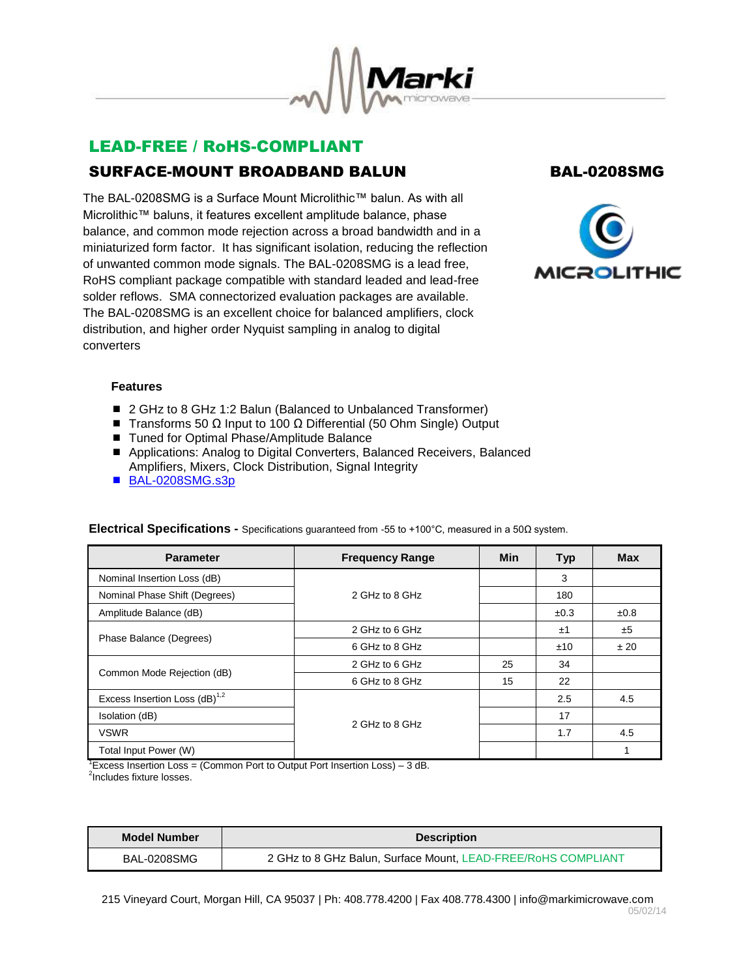

# LEAD-FREE / RoHS-COMPLIANT SURFACE-MOUNT BROADBAND BALUN BAL-0208SMG

The BAL-0208SMG is a Surface Mount Microlithic™ balun. As with all Microlithic™ baluns, it features excellent amplitude balance, phase balance, and common mode rejection across a broad bandwidth and in a miniaturized form factor. It has significant isolation, reducing the reflection of unwanted common mode signals. The BAL-0208SMG is a lead free, RoHS compliant package compatible with standard leaded and lead-free solder reflows. SMA connectorized evaluation packages are available. The BAL-0208SMG is an excellent choice for balanced amplifiers, clock distribution, and higher order Nyquist sampling in analog to digital converters



## **Features**

- 2 GHz to 8 GHz 1:2 Balun (Balanced to Unbalanced Transformer)
- $\blacksquare$  Transforms 50 Ω Input to 100 Ω Differential (50 Ohm Single) Output
- Tuned for Optimal Phase/Amplitude Balance
- Applications: Analog to Digital Converters, Balanced Receivers, Balanced Amplifiers, Mixers, Clock Distribution, Signal Integrity
- [BAL-0208SMG.s3p](http://www.markimicrowave.com/assets/data/BAL-0208SMG.zip)

| <b>Parameter</b>                   | <b>Frequency Range</b> | <b>Min</b> | <b>Typ</b> | <b>Max</b> |
|------------------------------------|------------------------|------------|------------|------------|
| Nominal Insertion Loss (dB)        |                        |            | 3          |            |
| Nominal Phase Shift (Degrees)      | 2 GHz to 8 GHz         |            | 180        |            |
| Amplitude Balance (dB)             |                        |            | ±0.3       | ±0.8       |
| Phase Balance (Degrees)            | 2 GHz to 6 GHz         |            | ±1         | ±5         |
|                                    | 6 GHz to 8 GHz         |            | ±10        | ±20        |
| Common Mode Rejection (dB)         | 2 GHz to 6 GHz         | 25         | 34         |            |
|                                    | 6 GHz to 8 GHz         | 15         | 22         |            |
| Excess Insertion Loss $(dB)^{1,2}$ |                        |            | 2.5        | 4.5        |
| Isolation (dB)                     | 2 GHz to 8 GHz         |            | 17         |            |
| <b>VSWR</b>                        |                        |            | 1.7        | 4.5        |
| Total Input Power (W)              |                        |            |            |            |

### **Electrical Specifications -** Specifications guaranteed from -55 to +100°C, measured in a 50Ω system.

<sup>1</sup>Excess Insertion Loss = (Common Port to Output Port Insertion Loss) – 3 dB.

<sup>2</sup>Includes fixture losses.

| Model Number | <b>Description</b>                                            |  |
|--------------|---------------------------------------------------------------|--|
| BAL-0208SMG  | 2 GHz to 8 GHz Balun, Surface Mount, LEAD-FREE/RoHS COMPLIANT |  |

215 Vineyard Court, Morgan Hill, CA 95037 | Ph: 408.778.4200 | Fax 408.778.4300 | info@markimicrowave.com 05/02/14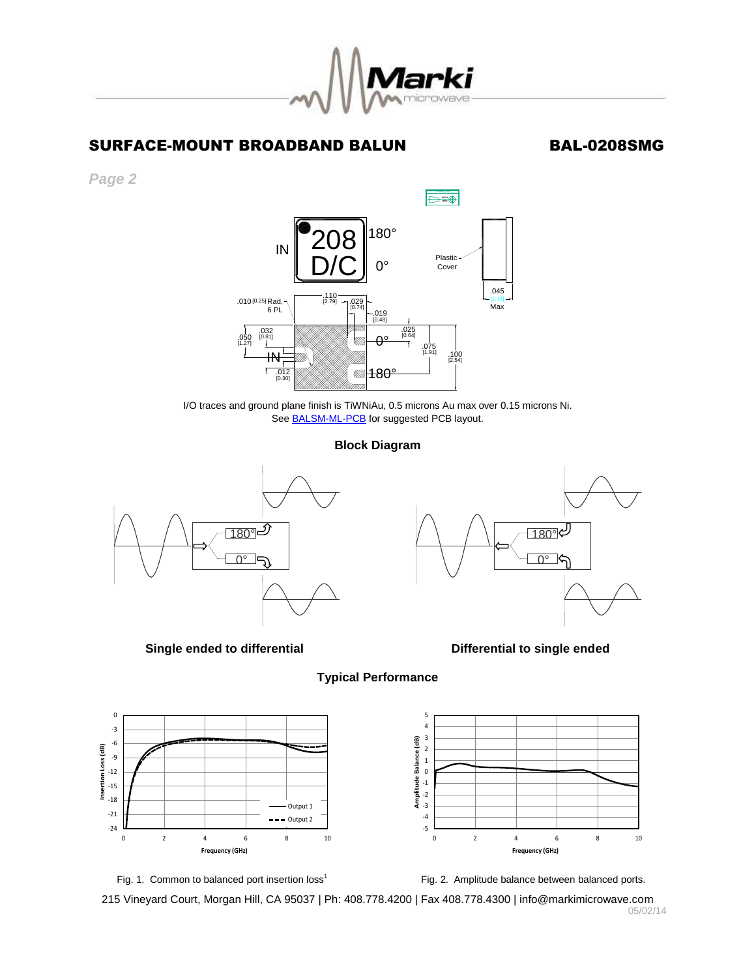

## SURFACE-MOUNT BROADBAND BALUN BAL-0208SMG

*Page 2*



I/O traces and ground plane finish is TiWNiAu, 0.5 microns Au max over 0.15 microns Ni. See **BALSM-ML-PCB** for suggested PCB layout.

### **Block Diagram**

**Typical Performance**



**Single ended to differential Conservation Conservation Conservation Conservation Conservation Conservation Conservation Conservation Conservation Conservation Conservation Conservation Conservation Conservation Conservati** 









Fig. 2. Amplitude balance between balanced ports.

215 Vineyard Court, Morgan Hill, CA 95037 | Ph: 408.778.4200 | Fax 408.778.4300 | info@markimicrowave.com 05/02/14